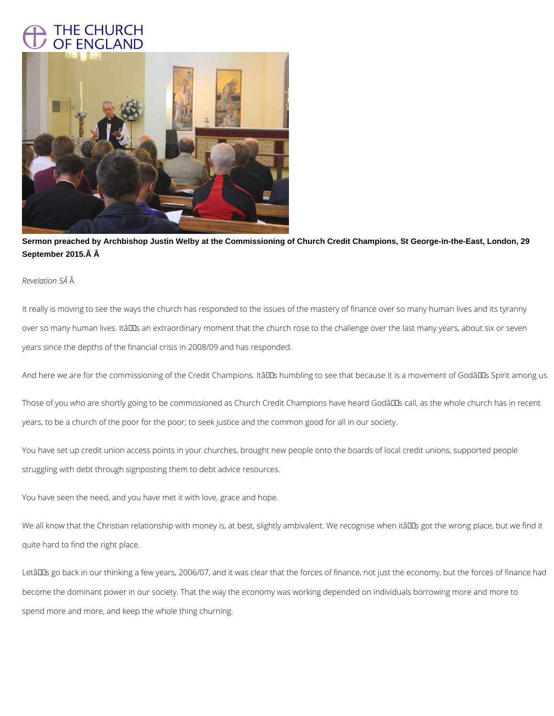## THE CHURCH **ENGLAND**



**Sermon preached by Archbishop Justin Welby at the Commissioning of Church Credit Champions, St George-in-the-East, London, 29**  September 2015. Â

## *Revelation 5Â*

It really is moving to see the ways the church has responded to the issues of the mastery of finance over so many human lives and its tyranny over so many human lives. ItâDDs an extraordinary moment that the church rose to the challenge over the last many years, about six or seven years since the depths of the financial crisis in 2008/09 and has responded.

And here we are for the commissioning of the Credit Champions. Itâll Is humbling to see that because it is a movement of Godâl IIs Spirit among us.

Those of you who are shortly going to be commissioned as Church Credit Champions have heard Godâlls call, as the whole church has in recent years, to be a church of the poor for the poor; to seek justice and the common good for all in our society.

You have set up credit union access points in your churches, brought new people onto the boards of local credit unions, supported people struggling with debt through signposting them to debt advice resources.

You have seen the need, and you have met it with love, grace and hope.

We all know that the Christian relationship with money is, at best, slightly ambivalent. We recognise when itâll us got the wrong place, but we find it

LetâDDs go back in our thinking a few years, 2006/07, and it was clear that the forces of finance, not just the economy, but the forces of finance had

become the dominant power in our society. That the way the economy was working depended on individuals borrowing more and more to

spend more and more, and keep the whole thing churning.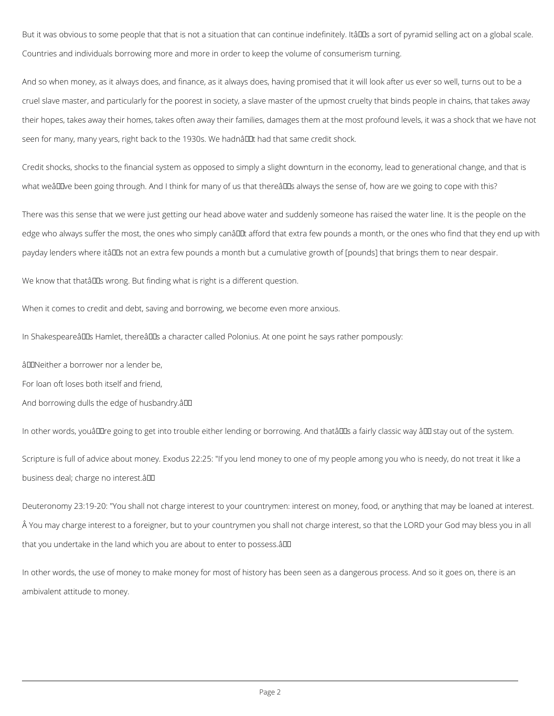But it was obvious to some people that that is not a situation that can continue indefinitely. Itâll as sort of pyramid selling act on a global scale. Countries and individuals borrowing more and more in order to keep the volume of consumerism turning.

And so when money, as it always does, and finance, as it always does, having promised that it will look after us ever so well, turns out to be a cruel slave master, and particularly for the poorest in society, a slave master of the upmost cruelty that binds people in chains, that takes away their hopes, takes away their homes, takes often away their families, damages them at the most profound levels, it was a shock that we have not seen for many, many years, right back to the 1930s. We hadnâl Lut had that same credit shock.

Credit shocks, shocks to the financial system as opposed to simply a slight downturn in the economy, lead to generational change, and that is what weâlDve been going through. And I think for many of us that thereâlDs always the sense of, how are we going to cope with this?

There was this sense that we were just getting our head above water and suddenly someone has raised the water line. It is the people on the edge who always suffer the most, the ones who simply canâult afford that extra few pounds a month, or the ones who find that they end up with payday lenders where itâlles not an extra few pounds a month but a cumulative growth of [pounds] that brings them to near despair.

We know that thatâll DIS wrong. But finding what is right is a different question.

In other words, youâll are going to get into trouble either lending or borrowing. And thatâll as fairly classic way â l atay out of the system. Scripture is full of advice about money. Exodus 22:25: "If you lend money to one of my people among you who is needy, do not treat it like a business deal; charge no interest.â

Deuteronomy 23:19-20: "You shall not charge interest to your countrymen: interest on money, food, or anything that may be loaned at interest. A You may charge interest to a foreigner, but to your countrymen you shall not charge interest, so that the LORD your God may bless you in all

When it comes to credit and debt, saving and borrowing, we become even more anxious.

In ShakespeareâlDs Hamlet, thereâlDs a character called Polonius. At one point he says rather pompously:

âDONeither a borrower nor a lender be,

For loan oft loses both itself and friend,

And borrowing dulls the edge of husbandry.â

In other words, the use of money to make money for most of history has been seen as a dangerous process. And so it goes on, there is an

ambivalent attitude to money.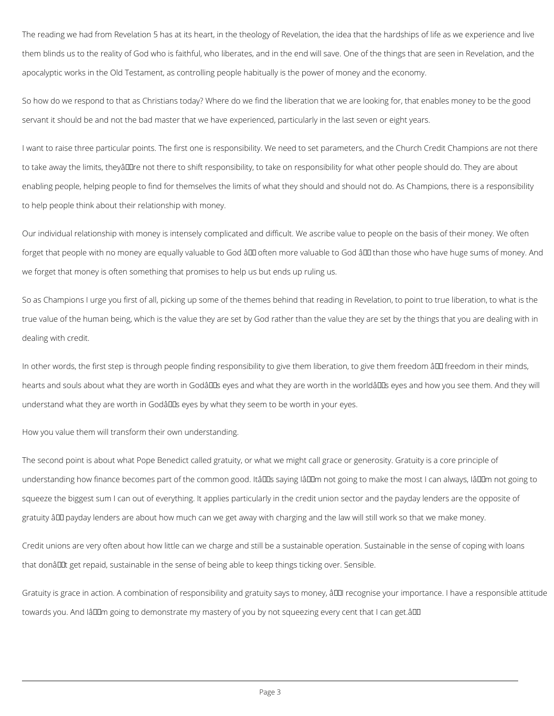The reading we had from Revelation 5 has at its heart, in the theology of Revelation, the idea that the hardships of life as we experience and live them blinds us to the reality of God who is faithful, who liberates, and in the end will save. One of the things that are seen in Revelation, and the apocalyptic works in the Old Testament, as controlling people habitually is the power of money and the economy.

So how do we respond to that as Christians today? Where do we find the liberation that we are looking for, that enables money to be the good servant it should be and not the bad master that we have experienced, particularly in the last seven or eight years.

I want to raise three particular points. The first one is responsibility. We need to set parameters, and the Church Credit Champions are not there to take away the limits, theyâll line not there to shift responsibility, to take on responsibility for what other people should do. They are about enabling people, helping people to find for themselves the limits of what they should and should not do. As Champions, there is a responsibility to help people think about their relationship with money.

The second point is about what Pope Benedict called gratuity, or what we might call grace or generosity. Gratuity is a core principle of understanding how finance becomes part of the common good. Itâll saying Iâll m not going to make the most I can always, Iâll m not going to squeeze the biggest sum I can out of everything. It applies particularly in the credit union sector and the payday lenders are the opposite of gratuity ând payday lenders are about how much can we get away with charging and the law will still work so that we make money.

Our individual relationship with money is intensely complicated and difficult. We ascribe value to people on the basis of their money. We often forget that people with no money are equally valuable to God âll often more valuable to God âll than those who have huge sums of money. And we forget that money is often something that promises to help us but ends up ruling us.

So as Champions I urge you first of all, picking up some of the themes behind that reading in Revelation, to point to true liberation, to what is the true value of the human being, which is the value they are set by God rather than the value they are set by the things that you are dealing with in dealing with credit.

In other words, the first step is through people finding responsibility to give them liberation, to give them freedom â po freedom in their minds, hearts and souls about what they are worth in Godâlles eyes and what they are worth in the worldâlles eyes and how you see them. And they will understand what they are worth in Godâlles eyes by what they seem to be worth in your eyes.

How you value them will transform their own understanding.

Credit unions are very often about how little can we charge and still be a sustainable operation. Sustainable in the sense of coping with loans

that donâl Dt get repaid, sustainable in the sense of being able to keep things ticking over. Sensible.

Gratuity is grace in action. A combination of responsibility and gratuity says to money,  $\frac{2}{\pi}$  recognise your importance. I have a responsible attitude

towards you. And IâDDm going to demonstrate my mastery of you by not squeezing every cent that I can get.âDD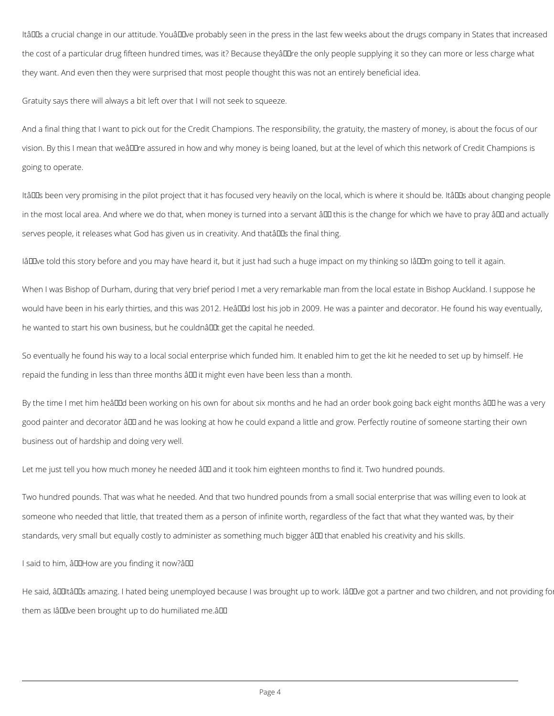ItâDDs a crucial change in our attitude. YouâDDve probably seen in the press in the last few weeks about the drugs company in States that increased the cost of a particular drug fifteen hundred times, was it? Because theyâll Tre the only people supplying it so they can more or less charge what they want. And even then they were surprised that most people thought this was not an entirely beneficial idea.

Gratuity says there will always a bit left over that I will not seek to squeeze.

And a final thing that I want to pick out for the Credit Champions. The responsibility, the gratuity, the mastery of money, is about the focus of our vision. By this I mean that weâll lre assured in how and why money is being loaned, but at the level of which this network of Credit Champions is going to operate.

ItâDDs been very promising in the pilot project that it has focused very heavily on the local, which is where it should be. ItâDDs about changing people in the most local area. And where we do that, when money is turned into a servant ând this is the change for which we have to pray ând and actually serves people, it releases what God has given us in creativity. And thata DDs the final thing.

IâD Dve told this story before and you may have heard it, but it just had such a huge impact on my thinking so IâD Dm going to tell it again.

When I was Bishop of Durham, during that very brief period I met a very remarkable man from the local estate in Bishop Auckland. I suppose he would have been in his early thirties, and this was 2012. Heâlle lost his job in 2009. He was a painter and decorator. He found his way eventually, he wanted to start his own business, but he couldnât get the capital he needed.

So eventually he found his way to a local social enterprise which funded him. It enabled him to get the kit he needed to set up by himself. He repaid the funding in less than three months  $\frac{\partial u}{\partial x}$  it might even have been less than a month.

By the time I met him heâllid been working on his own for about six months and he had an order book going back eight months â ll he was a very good painter and decorator ând and he was looking at how he could expand a little and grow. Perfectly routine of someone starting their own business out of hardship and doing very well.

Let me just tell you how much money he needed  $\frac{2}{\pi}$  and it took him eighteen months to find it. Two hundred pounds.

Two hundred pounds. That was what he needed. And that two hundred pounds from a small social enterprise that was willing even to look at someone who needed that little, that treated them as a person of infinite worth, regardless of the fact that what they wanted was, by their

standards, very small but equally costly to administer as something much bigger â DD that enabled his creativity and his skills.

I said to him, âDDHow are you finding it now?âDD

He said, âDDItâDDs amazing. I hated being unemployed because I was brought up to work. IâDDve got a partner and two children, and not providing fo

them as IâDD been brought up to do humiliated me. âDD